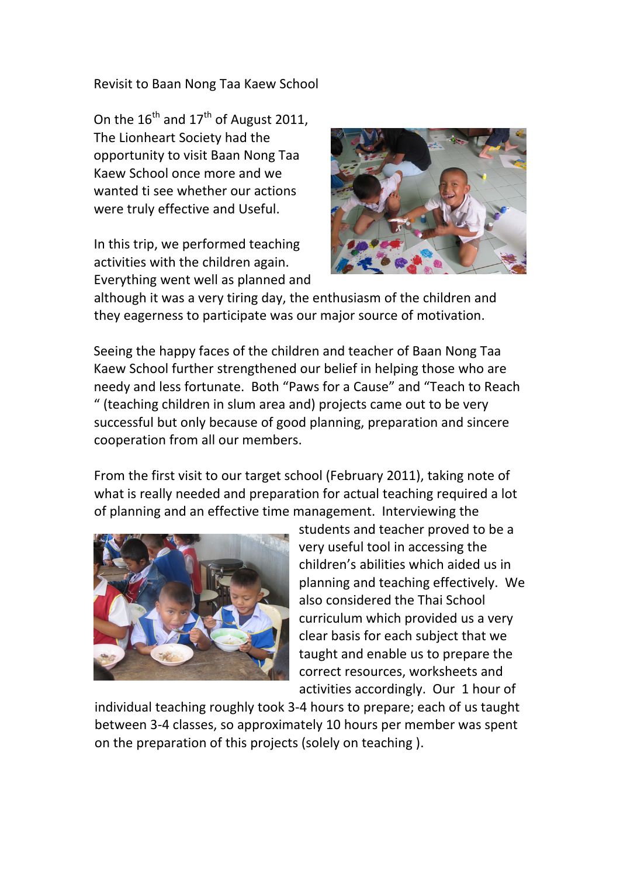Revisit to Baan Nong Taa Kaew School

On the  $16^{th}$  and  $17^{th}$  of August 2011. The Lionheart Society had the opportunity to visit Baan Nong Taa Kaew School once more and we wanted ti see whether our actions were truly effective and Useful.

In this trip, we performed teaching activities with the children again. Everything went well as planned and



although it was a very tiring day, the enthusiasm of the children and they eagerness to participate was our major source of motivation.

Seeing the happy faces of the children and teacher of Baan Nong Taa Kaew School further strengthened our belief in helping those who are needy and less fortunate. Both "Paws for a Cause" and "Teach to Reach " (teaching children in slum area and) projects came out to be very successful but only because of good planning, preparation and sincere cooperation from all our members.

From the first visit to our target school (February 2011), taking note of what is really needed and preparation for actual teaching required a lot of planning and an effective time management. Interviewing the



students and teacher proved to be a very useful tool in accessing the children's abilities which aided us in planning and teaching effectively. We also considered the Thai School curriculum which provided us a very clear basis for each subject that we taught and enable us to prepare the correct resources, worksheets and activities accordingly. Our 1 hour of

individual teaching roughly took 3‐4 hours to prepare; each of us taught between 3‐4 classes, so approximately 10 hours per member was spent on the preparation of this projects (solely on teaching ).